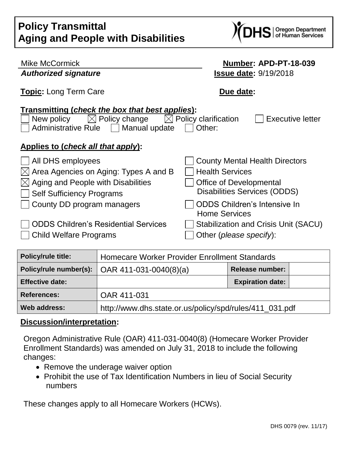| <b>Policy Transmittal</b>                 |  |
|-------------------------------------------|--|
| <b>Aging and People with Disabilities</b> |  |



| <b>Mike McCormick</b>                                                                                                                                                                                               | Number: APD-PT-18-039                                                                                                      |  |  |  |
|---------------------------------------------------------------------------------------------------------------------------------------------------------------------------------------------------------------------|----------------------------------------------------------------------------------------------------------------------------|--|--|--|
| <b>Authorized signature</b>                                                                                                                                                                                         | <b>Issue date: 9/19/2018</b>                                                                                               |  |  |  |
| <b>Topic:</b> Long Term Care                                                                                                                                                                                        | Due date:                                                                                                                  |  |  |  |
| Transmitting (check the box that best applies):<br>$[\times]$ Policy change<br>$\bowtie$ Policy clarification<br><b>Executive letter</b><br>New policy<br><b>Administrative Rule</b><br>    Manual update<br>Other: |                                                                                                                            |  |  |  |
| Applies to (check all that apply):                                                                                                                                                                                  |                                                                                                                            |  |  |  |
| All DHS employees<br>Area Agencies on Aging: Types A and B<br>IХI<br>Aging and People with Disabilities<br><b>Self Sufficiency Programs</b>                                                                         | <b>County Mental Health Directors</b><br><b>Health Services</b><br>Office of Developmental<br>Disabilities Services (ODDS) |  |  |  |
| County DD program managers                                                                                                                                                                                          | <b>ODDS Children's Intensive In</b><br><b>Home Services</b>                                                                |  |  |  |
| <b>ODDS Children's Residential Services</b><br><b>Child Welfare Programs</b>                                                                                                                                        | Stabilization and Crisis Unit (SACU)<br>Other ( <i>please specify</i> ):                                                   |  |  |  |

| Policy/rule title:     | Homecare Worker Provider Enrollment Standards           |                         |
|------------------------|---------------------------------------------------------|-------------------------|
|                        | Policy/rule number(s):   OAR 411-031-0040(8)(a)         | <b>Release number:</b>  |
| <b>Effective date:</b> |                                                         | <b>Expiration date:</b> |
| <b>References:</b>     | OAR 411-031                                             |                         |
| Web address:           | http://www.dhs.state.or.us/policy/spd/rules/411_031.pdf |                         |

#### **Discussion/interpretation:**

Oregon Administrative Rule (OAR) 411-031-0040(8) (Homecare Worker Provider Enrollment Standards) was amended on July 31, 2018 to include the following changes:

- Remove the underage waiver option
- Prohibit the use of Tax Identification Numbers in lieu of Social Security numbers

These changes apply to all Homecare Workers (HCWs).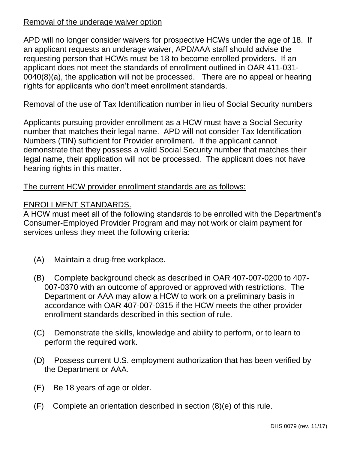### Removal of the underage waiver option

APD will no longer consider waivers for prospective HCWs under the age of 18. If an applicant requests an underage waiver, APD/AAA staff should advise the requesting person that HCWs must be 18 to become enrolled providers. If an applicant does not meet the standards of enrollment outlined in OAR 411-031- 0040(8)(a), the application will not be processed. There are no appeal or hearing rights for applicants who don't meet enrollment standards.

# Removal of the use of Tax Identification number in lieu of Social Security numbers

Applicants pursuing provider enrollment as a HCW must have a Social Security number that matches their legal name. APD will not consider Tax Identification Numbers (TIN) sufficient for Provider enrollment. If the applicant cannot demonstrate that they possess a valid Social Security number that matches their legal name, their application will not be processed. The applicant does not have hearing rights in this matter.

## The current HCW provider enrollment standards are as follows:

## ENROLLMENT STANDARDS.

A HCW must meet all of the following standards to be enrolled with the Department's Consumer-Employed Provider Program and may not work or claim payment for services unless they meet the following criteria:

- (A) Maintain a drug-free workplace.
- (B) Complete background check as described in OAR 407-007-0200 to 407- 007-0370 with an outcome of approved or approved with restrictions. The Department or AAA may allow a HCW to work on a preliminary basis in accordance with OAR 407-007-0315 if the HCW meets the other provider enrollment standards described in this section of rule.
- (C) Demonstrate the skills, knowledge and ability to perform, or to learn to perform the required work.
- (D) Possess current U.S. employment authorization that has been verified by the Department or AAA.
- (E) Be 18 years of age or older.
- (F) Complete an orientation described in section (8)(e) of this rule.